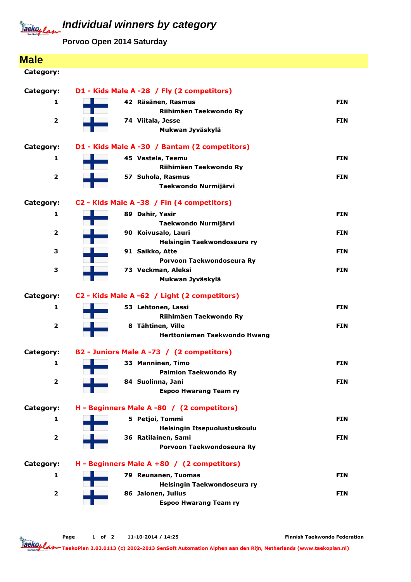

## **Individual winners by category**

**Porvoo Open 2014 Saturday**

| <b>Male</b>             |                                                    |            |
|-------------------------|----------------------------------------------------|------------|
| Category:               |                                                    |            |
|                         |                                                    |            |
| Category:               | D1 - Kids Male A -28 / Fly (2 competitors)         |            |
| 1                       | 42 Räsänen, Rasmus<br>Riihimäen Taekwondo Ry       | <b>FIN</b> |
| $\overline{\mathbf{2}}$ | 74 Viitala, Jesse                                  | <b>FIN</b> |
|                         | Mukwan Jyväskylä                                   |            |
| Category:               | D1 - Kids Male A -30 / Bantam (2 competitors)      |            |
| 1                       | 45 Vastela, Teemu                                  | <b>FIN</b> |
|                         | Riihimäen Taekwondo Ry                             |            |
| $\overline{\mathbf{2}}$ | 57 Suhola, Rasmus                                  | <b>FIN</b> |
|                         | Taekwondo Nurmijärvi                               |            |
| Category:               | C2 - Kids Male A -38 / Fin (4 competitors)         |            |
| 1                       | 89 Dahir, Yasir                                    | <b>FIN</b> |
|                         | Taekwondo Nurmijärvi                               |            |
| 2                       | 90 Koivusalo, Lauri                                | <b>FIN</b> |
|                         | Helsingin Taekwondoseura ry                        |            |
| 3                       | 91 Saikko, Atte<br>Porvoon Taekwondoseura Ry       | <b>FIN</b> |
| 3                       | 73 Veckman, Aleksi                                 | <b>FIN</b> |
|                         | Mukwan Jyväskylä                                   |            |
| Category:               | C2 - Kids Male A -62 / Light (2 competitors)       |            |
| 1                       | 53 Lehtonen, Lassi                                 | <b>FIN</b> |
|                         | Riihimäen Taekwondo Ry                             |            |
| $\overline{2}$          | 8 Tähtinen, Ville                                  | <b>FIN</b> |
|                         | Herttoniemen Taekwondo Hwang                       |            |
| Category:               | B2 - Juniors Male A -73 / (2 competitors)          |            |
| 1                       | 33 Manninen, Timo                                  | <b>FIN</b> |
|                         | <b>Paimion Taekwondo Ry</b>                        |            |
| $\overline{\mathbf{2}}$ | 84 Suolinna, Jani                                  | <b>FIN</b> |
|                         | <b>Espoo Hwarang Team ry</b>                       |            |
| Category:               | H - Beginners Male A -80 / (2 competitors)         |            |
| 1                       | 5 Petjoi, Tommi                                    | <b>FIN</b> |
|                         | Helsingin Itsepuolustuskoulu                       |            |
| $\overline{\mathbf{2}}$ | 36 Ratilainen, Sami<br>Porvoon Taekwondoseura Ry   | <b>FIN</b> |
|                         |                                                    |            |
| Category:               | H - Beginners Male A +80 / (2 competitors)         |            |
| 1                       | 79 Reunanen, Tuomas<br>Helsingin Taekwondoseura ry | <b>FIN</b> |
| $\overline{\mathbf{2}}$ | 86 Jalonen, Julius                                 | <b>FIN</b> |
|                         | <b>Espoo Hwarang Team ry</b>                       |            |

Page 1 of 2 11-10-2014 / 14:25

Finnish Taekwondo Federation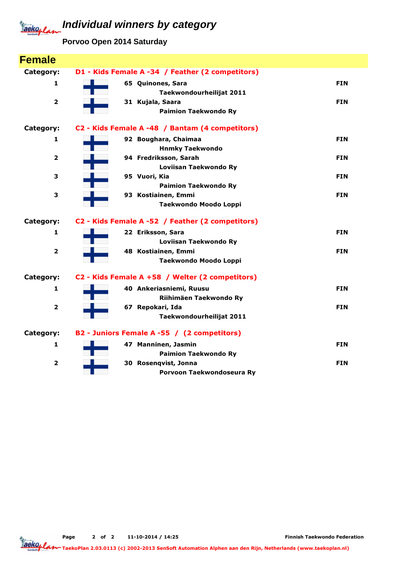### **Individual winners by category** Jackoplan

**Porvoo Open 2014 Saturday**

| <b>Female</b>           |                                                     |            |
|-------------------------|-----------------------------------------------------|------------|
| Category:               | D1 - Kids Female A -34 / Feather (2 competitors)    |            |
| 1                       | 65 Quinones, Sara<br>Taekwondourheilijat 2011       | <b>FIN</b> |
| $\overline{\mathbf{2}}$ | 31 Kujala, Saara<br><b>Paimion Taekwondo Ry</b>     | <b>FIN</b> |
| Category:               | C2 - Kids Female A -48 / Bantam (4 competitors)     |            |
| 1                       | 92 Boughara, Chaimaa<br><b>Hnmky Taekwondo</b>      | <b>FIN</b> |
| $\overline{\mathbf{2}}$ | 94 Fredriksson, Sarah<br>Loviisan Taekwondo Ry      | <b>FIN</b> |
| з                       | 95 Vuori, Kia<br><b>Paimion Taekwondo Ry</b>        | <b>FIN</b> |
| 3                       | 93 Kostiainen, Emmi<br><b>Taekwondo Moodo Loppi</b> | <b>FIN</b> |
| Category:               | C2 - Kids Female A -52 / Feather (2 competitors)    |            |
| 1                       | 22 Eriksson, Sara<br>Loviisan Taekwondo Ry          | <b>FIN</b> |
| $\overline{\mathbf{2}}$ | 48 Kostiainen, Emmi<br>Taekwondo Moodo Loppi        | <b>FIN</b> |
| Category:               | C2 - Kids Female A +58 / Welter (2 competitors)     |            |
| 1                       | 40 Ankeriasniemi, Ruusu<br>Riihimäen Taekwondo Ry   | <b>FIN</b> |
| $\overline{\mathbf{2}}$ | 67 Repokari, Ida<br>Taekwondourheilijat 2011        | <b>FIN</b> |
| Category:               | B2 - Juniors Female A -55 / (2 competitors)         |            |
| 1                       | 47 Manninen, Jasmin<br><b>Paimion Taekwondo Ry</b>  | <b>FIN</b> |
| 2                       | 30 Rosenqvist, Jonna<br>Porvoon Taekwondoseura Ry   | <b>FIN</b> |

Page 2 of 2 11-10-2014 / 14:25

Finnish Taekwondo Federation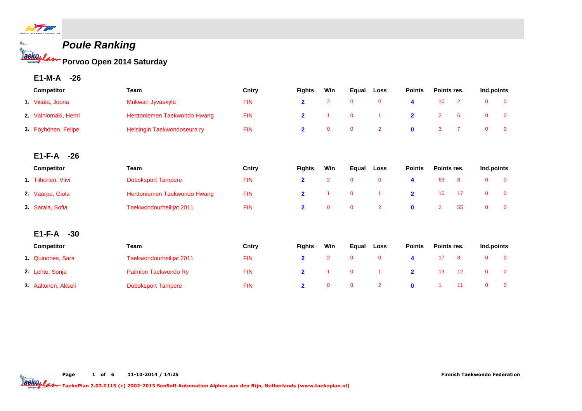

**Poule Ranking Porvoo Open 2014 Saturday**

**E1-M-A -26**

|    | <b>Competitor</b>    | Team                         | Cntry      | <b>Fights</b>           | Win            | Equal        | Loss           | <b>Points</b>           | Points res.    |                | Ind.points     |                |
|----|----------------------|------------------------------|------------|-------------------------|----------------|--------------|----------------|-------------------------|----------------|----------------|----------------|----------------|
|    | 1. Viitala, Joona    | Mukwan Jyväskylä             | <b>FIN</b> | $\overline{2}$          | $\overline{2}$ | $\mathbf 0$  | $\mathbf 0$    | 4                       | 10             | $\overline{2}$ | $\mathbf 0$    | $\mathbf 0$    |
|    | 2. Vainiomäki, Henri | Herttoniemen Taekwondo Hwang | <b>FIN</b> | $\overline{\mathbf{2}}$ |                | $\mathbf 0$  |                | $\overline{\mathbf{2}}$ | $\overline{2}$ | 6              | $\mathbf 0$    | $\mathbf 0$    |
|    | 3. Pöyhönen, Felipe  | Helsingin Taekwondoseura ry  | <b>FIN</b> | $\overline{2}$          | $\mathbf 0$    | $\mathbf 0$  | $\overline{2}$ | $\mathbf 0$             | 3              | $\overline{7}$ | $\mathbf 0$    | $\mathbf 0$    |
|    | $E1-F-A$<br>-26      |                              |            |                         |                |              |                |                         |                |                |                |                |
|    | Competitor           | <b>Team</b>                  | Cntry      | <b>Fights</b>           | Win            | Equal        | Loss           | <b>Points</b>           | Points res.    |                | Ind.points     |                |
|    | 1. Tiihonen, Viivi   | <b>Doboksport Tampere</b>    | <b>FIN</b> | $\overline{2}$          | $\overline{2}$ | $\mathbf 0$  | $\mathbf 0$    | 4                       | 63             | 8              | $\mathbf{0}$   | $\overline{0}$ |
|    | 2. Vaarpu, Giola     | Herttoniemen Taekwondo Hwang | <b>FIN</b> | $\overline{2}$          |                | $\mathbf 0$  |                | $\overline{2}$          | 15             | 17             | $\mathbf 0$    | $\mathbf 0$    |
| 3. | Sarala, Sofia        | Taekwondourheilijat 2011     | <b>FIN</b> | $\overline{2}$          | $\mathbf{0}$   | $\mathbf{0}$ | $\overline{2}$ | $\mathbf 0$             | $\overline{2}$ | 55             | $\overline{0}$ | $\mathbf{0}$   |
|    | $E1-F-A$<br>$-30$    |                              |            |                         |                |              |                |                         |                |                |                |                |
|    | <b>Competitor</b>    | Team                         | Cntry      | <b>Fights</b>           | Win            | Equal        | Loss           | <b>Points</b>           | Points res.    |                | Ind.points     |                |
|    | 1 Quinones, Sara     | Taekwondourheilijat 2011     | <b>FIN</b> | $\overline{2}$          | $\overline{2}$ | $\mathbf{0}$ | $\mathbf 0$    | 4                       | 17             | 8              | $\mathbf 0$    | $\mathbf 0$    |
|    | 2. Lehto, Sonja      | Paimion Taekwondo Ry         | <b>FIN</b> | $\overline{2}$          |                | $\mathbf 0$  |                | $\overline{\mathbf{2}}$ | 13             | 12             | $\mathbf 0$    | $\mathbf 0$    |
|    | 3. Aaltonen, Akseli  | <b>Doboksport Tampere</b>    | <b>FIN</b> | $\overline{2}$          | $\mathbf{0}$   | $\mathbf 0$  | $\overline{2}$ | $\mathbf 0$             |                | 11             | $\mathbf 0$    | $\mathbf 0$    |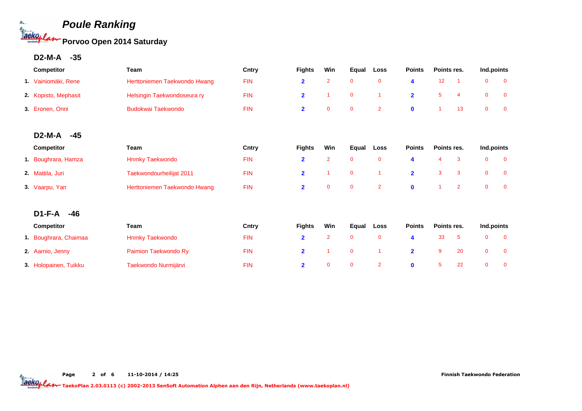

**D2-M-A -35**

| <b>Competitor</b>    | Team                         | Cntry      | <b>Fights</b> | Win | Eaual    | Loss | <b>Points</b> | Points res. | Ind.points |  |
|----------------------|------------------------------|------------|---------------|-----|----------|------|---------------|-------------|------------|--|
| 1. Vainiomäki, Rene  | Herttoniemen Taekwondo Hwang | <b>FIN</b> |               |     |          |      |               |             |            |  |
| 2. Kopisto, Mephasit | Helsingin Taekwondoseura ry  | <b>FIN</b> |               |     | <b>O</b> |      |               |             |            |  |
| 3. Eronen, Onni      | <b>Budokwai Taekwondo</b>    | <b>FIN</b> |               |     | $\Omega$ |      |               |             |            |  |

### **D2-M-A -45**

| <b>Competitor</b>   | Team                         | Cntry      | <b>Fights</b> | Win | Eaual | Loss | <b>Points</b> | Points res. | Ind.points |  |
|---------------------|------------------------------|------------|---------------|-----|-------|------|---------------|-------------|------------|--|
| 1. Boughrara, Hamza | <b>Hnmky Taekwondo</b>       | <b>FIN</b> |               |     |       |      |               |             |            |  |
| 2. Mattila, Juri    | Taekwondourheilijat 2011     | <b>FIN</b> |               |     |       |      |               |             |            |  |
| 3. Vaarpu, Yan      | Herttoniemen Taekwondo Hwang | FIN        |               |     |       |      |               |             |            |  |

### **D1-F-A -46**

| <b>Competitor</b>     | Team                   | Cntry      | <b>Fights</b> | Win | Equal | Loss | <b>Points</b> | Points res. |     | Ind.points |  |
|-----------------------|------------------------|------------|---------------|-----|-------|------|---------------|-------------|-----|------------|--|
| 1. Boughrara, Chaimaa | <b>Hnmky Taekwondo</b> | <b>FIN</b> |               |     |       |      |               |             |     |            |  |
| 2. Aarnio, Jenny      | Paimion Taekwondo Ry   | <b>FIN</b> |               |     |       |      |               |             | -20 |            |  |
| 3. Holopainen, Tuikku | Taekwondo Nurmijärvi   | <b>FIN</b> |               |     |       |      |               |             |     |            |  |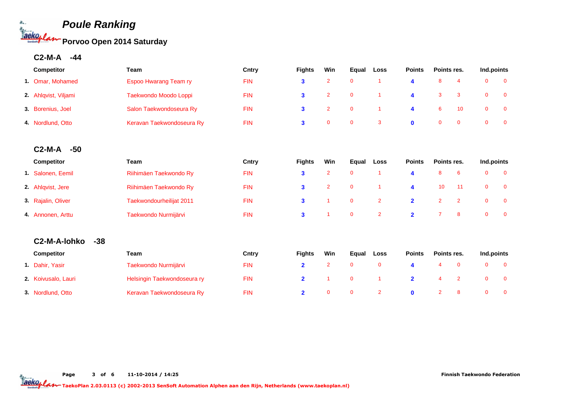

**C2-M-A -44**

| Competitor            | Team                         | Cntry      | <b>Fights</b>           | Win            | Equal       | Loss           | <b>Points</b>           | Points res.    |                | Ind.points   |                |
|-----------------------|------------------------------|------------|-------------------------|----------------|-------------|----------------|-------------------------|----------------|----------------|--------------|----------------|
| 1. Omar, Mohamed      | <b>Espoo Hwarang Team ry</b> | <b>FIN</b> | 3                       | $\overline{2}$ | $\mathbf 0$ | -1             | $\boldsymbol{4}$        | 8              | $\overline{4}$ | $\mathbf{0}$ | $\overline{0}$ |
| 2. Ahlqvist, Viljami  | Taekwondo Moodo Loppi        | <b>FIN</b> | 3                       | $\overline{2}$ | $\mathbf 0$ | $\overline{1}$ | 4                       | 3              | 3              | $\mathbf 0$  | $\mathbf 0$    |
| 3. Borenius, Joel     | Salon Taekwondoseura Ry      | <b>FIN</b> | 3                       | $\overline{2}$ | $\mathbf 0$ | $\overline{1}$ | 4                       | 6              | 10             | $\mathbf 0$  | $\mathbf 0$    |
| 4. Nordlund, Otto     | Keravan Taekwondoseura Ry    | <b>FIN</b> | 3                       | $\mathbf 0$    | $\mathbf 0$ | 3              | $\mathbf 0$             | $\mathbf{0}$   | $\mathbf{0}$   | $\mathbf 0$  | $\mathbf 0$    |
| $C2-M-A$<br>$-50$     |                              |            |                         |                |             |                |                         |                |                |              |                |
| Competitor            | Team                         | Cntry      | <b>Fights</b>           | Win            | Equal       | Loss           | <b>Points</b>           | Points res.    |                | Ind.points   |                |
| 1. Salonen, Eemil     | Riihimäen Taekwondo Ry       | <b>FIN</b> | 3                       | $\overline{2}$ | $\mathbf 0$ | $\overline{1}$ | $\overline{\mathbf{4}}$ | 8              | 6              | $\mathbf 0$  | $\mathbf 0$    |
| 2. Ahlqvist, Jere     | Riihimäen Taekwondo Ry       | <b>FIN</b> | 3                       | $\overline{2}$ | $\mathbf 0$ | 1              | 4                       | 10             | 11             | $\mathbf 0$  | $\mathbf 0$    |
| 3. Rajalin, Oliver    | Taekwondourheilijat 2011     | <b>FIN</b> | 3                       | -1             | $\mathbf 0$ | $\overline{2}$ | $\overline{\mathbf{2}}$ | $\overline{2}$ | $\overline{2}$ | $\mathbf 0$  | $\mathbf 0$    |
| 4. Annonen, Arttu     | Taekwondo Nurmijärvi         | <b>FIN</b> | 3                       |                | $\mathbf 0$ | $\overline{2}$ | $\overline{2}$          | $\overline{7}$ | 8              | $\mathbf 0$  | $\mathbf 0$    |
| C2-M-A-lohko<br>$-38$ |                              |            |                         |                |             |                |                         |                |                |              |                |
| <b>Competitor</b>     | Team                         | Cntry      | <b>Fights</b>           | Win            | Equal       | Loss           | <b>Points</b>           | Points res.    |                | Ind.points   |                |
| 1. Dahir, Yasir       | Taekwondo Nurmijärvi         | <b>FIN</b> | $\overline{\mathbf{2}}$ | $\overline{2}$ | $\mathbf 0$ | $\mathbf 0$    | 4                       | $\overline{4}$ | $\mathbf 0$    | $\mathbf 0$  | $\mathbf 0$    |
| 2. Koivusalo, Lauri   | Helsingin Taekwondoseura ry  | <b>FIN</b> | $\mathbf{2}$            | -1             | $\mathbf 0$ | $\overline{1}$ | $\overline{\mathbf{2}}$ | $\overline{4}$ | $\overline{2}$ | $\mathbf{0}$ | $\mathbf{0}$   |
| 3. Nordlund, Otto     | Keravan Taekwondoseura Ry    | <b>FIN</b> | $\overline{2}$          | $\mathbf{0}$   | $\mathbf 0$ | $\overline{2}$ | $\mathbf 0$             | $\overline{2}$ | 8              | $\mathbf{0}$ | $\mathbf 0$    |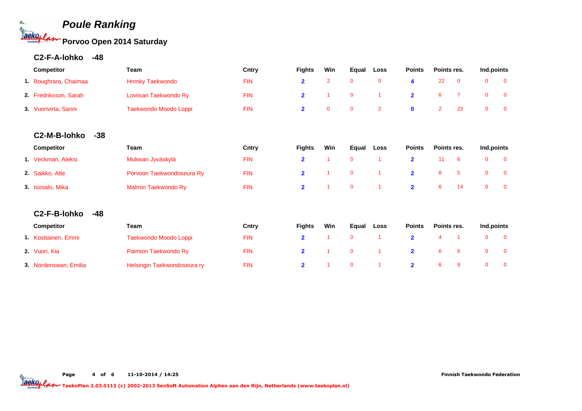# **Poule Ranking Porvoo Open 2014 Saturday**

| <b>Competitor</b>     | Team                   | Cntry      | <b>Fights</b> | Win | Eaual | Loss | <b>Points</b> | Points res. | Ind.points |  |
|-----------------------|------------------------|------------|---------------|-----|-------|------|---------------|-------------|------------|--|
| 1. Boughrara, Chaimaa | <b>Hnmky Taekwondo</b> | <b>FIN</b> |               |     |       |      |               | 22          |            |  |
| 2. Fredriksson, Sarah | Loviisan Taekwondo Ry  | <b>FIN</b> |               |     |       |      |               |             |            |  |
| 3. Vuorivirta, Sanni  | Taekwondo Moodo Loppi  | <b>FIN</b> |               |     |       |      |               |             |            |  |

### **C2-M-B-lohko -38**

| <b>Competitor</b>  | Team                      | Cntry      | <b>Fights</b> | Win | Equal | Loss | <b>Points</b> | Points res. |     | Ind.points |  |
|--------------------|---------------------------|------------|---------------|-----|-------|------|---------------|-------------|-----|------------|--|
| 1. Veckman, Aleksi | Mukwan Jyväskylä          | <b>FIN</b> |               |     |       |      |               |             | - 6 |            |  |
| 2. Saikko, Atte    | Porvoon Taekwondoseura Ry | <b>FIN</b> |               |     |       |      |               | 8.          |     |            |  |
| 3. Isosalo, Mika   | Malmin Taekwondo Ry       | <b>FIN</b> |               |     |       |      |               |             |     |            |  |

### **C2-F-B-lohko -48**

| <b>Competitor</b>     | Team                        | Cntry | <b>Fights</b> | Win | Eaual    | <b>Loss</b> | <b>Points</b> | Points res. | Ind.points |  |
|-----------------------|-----------------------------|-------|---------------|-----|----------|-------------|---------------|-------------|------------|--|
| 1. Kostiainen, Emmi   | Taekwondo Moodo Loppi       | FIN   |               |     |          |             |               |             |            |  |
| 2. Vuori, Kia         | Paimion Taekwondo Ry        | FIN   |               |     |          |             |               |             |            |  |
| 3. Nordenswan, Emilia | Helsingin Taekwondoseura ry | FIN   |               |     | $\Omega$ |             |               |             |            |  |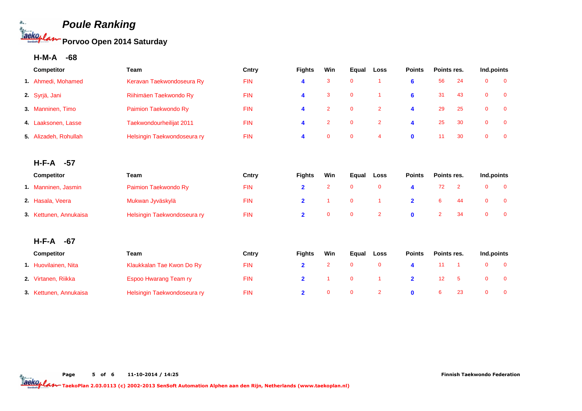

**H-M-A -68**

| Competitor             | Team                         | Cntry      | <b>Fights</b>           | Win            | Equal       | Loss                 | <b>Points</b>  | Points res.    |                | Ind.points   |              |
|------------------------|------------------------------|------------|-------------------------|----------------|-------------|----------------------|----------------|----------------|----------------|--------------|--------------|
| 1. Ahmedi, Mohamed     | Keravan Taekwondoseura Ry    | <b>FIN</b> | 4                       | 3              | $\mathbf 0$ | $\overline{1}$       | 6              | 56             | 24             | $\mathbf{0}$ | $\mathbf{0}$ |
| 2. Syrjä, Jani         | Riihimäen Taekwondo Ry       | <b>FIN</b> | 4                       | 3              | $\mathbf 0$ | $\overline{1}$       | 6              | 31             | 43             | $\mathbf 0$  | $\mathbf 0$  |
| 3. Manninen, Timo      | Paimion Taekwondo Ry         | <b>FIN</b> | 4                       | $\overline{2}$ | $\mathbf 0$ | $\overline{2}$       | 4              | 29             | 25             | $\mathbf 0$  | $\mathbf 0$  |
| 4. Laaksonen, Lasse    | Taekwondourheilijat 2011     | <b>FIN</b> | 4                       | $\overline{2}$ | $\mathbf 0$ | $\overline{2}$       | 4              | 25             | 30             | $\mathbf 0$  | $\mathbf 0$  |
| 5. Alizadeh, Rohullah  | Helsingin Taekwondoseura ry  | <b>FIN</b> | 4                       | $\mathbf{0}$   | $\mathbf 0$ | $\overline{4}$       | $\mathbf 0$    | 11             | 30             | $\mathbf{0}$ | $\mathbf 0$  |
|                        |                              |            |                         |                |             |                      |                |                |                |              |              |
| H-F-A<br>$-57$         |                              |            |                         |                |             |                      |                |                |                |              |              |
| Competitor             | Team                         | Cntry      | <b>Fights</b>           | Win            | Equal       | Loss                 | <b>Points</b>  | Points res.    |                | Ind.points   |              |
| 1. Manninen, Jasmin    | Paimion Taekwondo Ry         | <b>FIN</b> | $\overline{\mathbf{2}}$ | $\overline{2}$ | $\mathbf 0$ | $\mathbf 0$          | 4              | 72             | $\overline{2}$ | $\mathbf 0$  | $\mathbf 0$  |
| 2. Hasala, Veera       | Mukwan Jyväskylä             | <b>FIN</b> | $\mathbf{2}$            |                | $\mathbf 0$ | $\overline{1}$       | $\overline{2}$ | 6              | 44             | $\mathbf 0$  | $\mathbf 0$  |
| 3. Kettunen, Annukaisa | Helsingin Taekwondoseura ry  | <b>FIN</b> | $\overline{\mathbf{2}}$ | $\mathbf 0$    | $\mathbf 0$ | $\overline{2}$       | $\mathbf 0$    | $\overline{2}$ | 34             | $\mathbf{0}$ | $\mathbf 0$  |
|                        |                              |            |                         |                |             |                      |                |                |                |              |              |
| H-F-A<br>$-67$         |                              |            |                         |                |             |                      |                |                |                |              |              |
| Competitor             | Team                         | Cntry      | <b>Fights</b>           | Win            | Equal       | Loss                 | <b>Points</b>  | Points res.    |                | Ind.points   |              |
| 1. Huovilainen, Nita   | Klaukkalan Tae Kwon Do Ry    | <b>FIN</b> | $\overline{\mathbf{2}}$ | $\overline{2}$ | $\mathbf 0$ | $\mathbf 0$          | 4              | 11             | $\overline{1}$ | $\mathbf 0$  | $\mathbf 0$  |
| 2. Virtanen, Riikka    | <b>Espoo Hwarang Team ry</b> | <b>FIN</b> | $\overline{2}$          | -1             | $\mathbf 0$ | $\blacktriangleleft$ | $\overline{2}$ | 12             | 5              | $\mathbf 0$  | $\mathbf 0$  |
| 3. Kettunen, Annukaisa | Helsingin Taekwondoseura ry  | <b>FIN</b> | $\overline{2}$          | $\mathbf 0$    | $\mathbf 0$ | $\overline{2}$       | $\mathbf{0}$   | 6              | 23             | $\mathbf 0$  | $\mathbf 0$  |